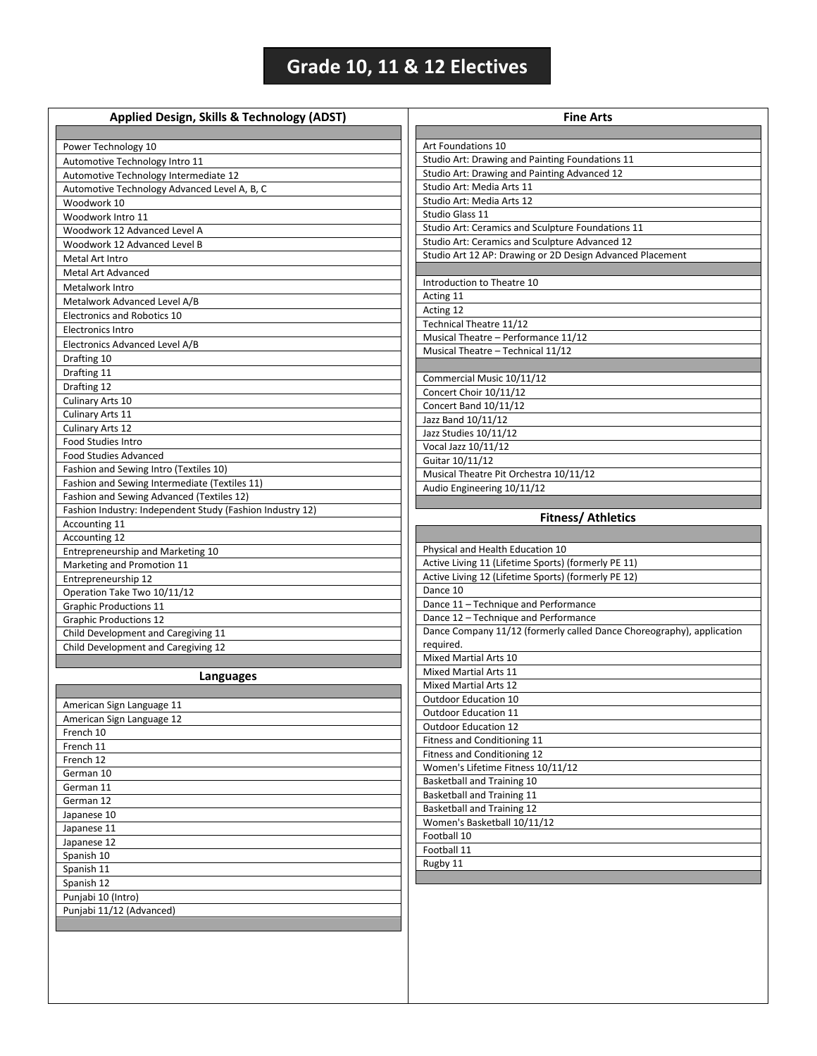## **Grade 10, 11 & 12 Electives**

| Power Technology 10<br>Automotive Technology Intro 11<br>Automotive Technology Intermediate 12<br>Automotive Technology Advanced Level A, B, C<br>Woodwork 10<br>Woodwork Intro 11<br>Woodwork 12 Advanced Level A<br>Woodwork 12 Advanced Level B<br>Metal Art Intro<br>Metal Art Advanced<br>Metalwork Intro<br>Metalwork Advanced Level A/B<br>Electronics and Robotics 10<br><b>Electronics Intro</b><br>Electronics Advanced Level A/B<br>Drafting 10<br>Drafting 11<br>Drafting 12<br>Culinary Arts 10<br>Culinary Arts 11<br><b>Culinary Arts 12</b><br>Food Studies Intro<br><b>Food Studies Advanced</b><br>Fashion and Sewing Intro (Textiles 10)<br>Fashion and Sewing Intermediate (Textiles 11)<br>Fashion and Sewing Advanced (Textiles 12)<br>Fashion Industry: Independent Study (Fashion Industry 12)<br>Accounting 11<br>Accounting 12<br>Entrepreneurship and Marketing 10<br>Marketing and Promotion 11<br>Entrepreneurship 12<br>Operation Take Two 10/11/12<br><b>Graphic Productions 11</b><br><b>Graphic Productions 12</b><br>Child Development and Caregiving 11<br>Child Development and Caregiving 12<br>Languages<br>American Sign Language 11<br>American Sign Language 12<br>French 10<br>French 11<br>French 12<br>German 10<br>German 11<br>German 12<br>Japanese 10<br>Japanese 11<br>Japanese 12<br>Spanish 10<br>Spanish 11 |                                                                       |
|-----------------------------------------------------------------------------------------------------------------------------------------------------------------------------------------------------------------------------------------------------------------------------------------------------------------------------------------------------------------------------------------------------------------------------------------------------------------------------------------------------------------------------------------------------------------------------------------------------------------------------------------------------------------------------------------------------------------------------------------------------------------------------------------------------------------------------------------------------------------------------------------------------------------------------------------------------------------------------------------------------------------------------------------------------------------------------------------------------------------------------------------------------------------------------------------------------------------------------------------------------------------------------------------------------------------------------------------------------------------|-----------------------------------------------------------------------|
|                                                                                                                                                                                                                                                                                                                                                                                                                                                                                                                                                                                                                                                                                                                                                                                                                                                                                                                                                                                                                                                                                                                                                                                                                                                                                                                                                                 |                                                                       |
|                                                                                                                                                                                                                                                                                                                                                                                                                                                                                                                                                                                                                                                                                                                                                                                                                                                                                                                                                                                                                                                                                                                                                                                                                                                                                                                                                                 | Art Foundations 10                                                    |
|                                                                                                                                                                                                                                                                                                                                                                                                                                                                                                                                                                                                                                                                                                                                                                                                                                                                                                                                                                                                                                                                                                                                                                                                                                                                                                                                                                 | Studio Art: Drawing and Painting Foundations 11                       |
|                                                                                                                                                                                                                                                                                                                                                                                                                                                                                                                                                                                                                                                                                                                                                                                                                                                                                                                                                                                                                                                                                                                                                                                                                                                                                                                                                                 | Studio Art: Drawing and Painting Advanced 12                          |
|                                                                                                                                                                                                                                                                                                                                                                                                                                                                                                                                                                                                                                                                                                                                                                                                                                                                                                                                                                                                                                                                                                                                                                                                                                                                                                                                                                 | Studio Art: Media Arts 11                                             |
|                                                                                                                                                                                                                                                                                                                                                                                                                                                                                                                                                                                                                                                                                                                                                                                                                                                                                                                                                                                                                                                                                                                                                                                                                                                                                                                                                                 | Studio Art: Media Arts 12                                             |
|                                                                                                                                                                                                                                                                                                                                                                                                                                                                                                                                                                                                                                                                                                                                                                                                                                                                                                                                                                                                                                                                                                                                                                                                                                                                                                                                                                 | Studio Glass 11                                                       |
|                                                                                                                                                                                                                                                                                                                                                                                                                                                                                                                                                                                                                                                                                                                                                                                                                                                                                                                                                                                                                                                                                                                                                                                                                                                                                                                                                                 | Studio Art: Ceramics and Sculpture Foundations 11                     |
|                                                                                                                                                                                                                                                                                                                                                                                                                                                                                                                                                                                                                                                                                                                                                                                                                                                                                                                                                                                                                                                                                                                                                                                                                                                                                                                                                                 | Studio Art: Ceramics and Sculpture Advanced 12                        |
|                                                                                                                                                                                                                                                                                                                                                                                                                                                                                                                                                                                                                                                                                                                                                                                                                                                                                                                                                                                                                                                                                                                                                                                                                                                                                                                                                                 | Studio Art 12 AP: Drawing or 2D Design Advanced Placement             |
|                                                                                                                                                                                                                                                                                                                                                                                                                                                                                                                                                                                                                                                                                                                                                                                                                                                                                                                                                                                                                                                                                                                                                                                                                                                                                                                                                                 |                                                                       |
|                                                                                                                                                                                                                                                                                                                                                                                                                                                                                                                                                                                                                                                                                                                                                                                                                                                                                                                                                                                                                                                                                                                                                                                                                                                                                                                                                                 | Introduction to Theatre 10                                            |
|                                                                                                                                                                                                                                                                                                                                                                                                                                                                                                                                                                                                                                                                                                                                                                                                                                                                                                                                                                                                                                                                                                                                                                                                                                                                                                                                                                 | Acting 11                                                             |
|                                                                                                                                                                                                                                                                                                                                                                                                                                                                                                                                                                                                                                                                                                                                                                                                                                                                                                                                                                                                                                                                                                                                                                                                                                                                                                                                                                 | Acting 12                                                             |
|                                                                                                                                                                                                                                                                                                                                                                                                                                                                                                                                                                                                                                                                                                                                                                                                                                                                                                                                                                                                                                                                                                                                                                                                                                                                                                                                                                 | Technical Theatre 11/12                                               |
|                                                                                                                                                                                                                                                                                                                                                                                                                                                                                                                                                                                                                                                                                                                                                                                                                                                                                                                                                                                                                                                                                                                                                                                                                                                                                                                                                                 | Musical Theatre - Performance 11/12                                   |
|                                                                                                                                                                                                                                                                                                                                                                                                                                                                                                                                                                                                                                                                                                                                                                                                                                                                                                                                                                                                                                                                                                                                                                                                                                                                                                                                                                 | Musical Theatre - Technical 11/12                                     |
|                                                                                                                                                                                                                                                                                                                                                                                                                                                                                                                                                                                                                                                                                                                                                                                                                                                                                                                                                                                                                                                                                                                                                                                                                                                                                                                                                                 |                                                                       |
|                                                                                                                                                                                                                                                                                                                                                                                                                                                                                                                                                                                                                                                                                                                                                                                                                                                                                                                                                                                                                                                                                                                                                                                                                                                                                                                                                                 | Commercial Music 10/11/12                                             |
|                                                                                                                                                                                                                                                                                                                                                                                                                                                                                                                                                                                                                                                                                                                                                                                                                                                                                                                                                                                                                                                                                                                                                                                                                                                                                                                                                                 | Concert Choir 10/11/12                                                |
|                                                                                                                                                                                                                                                                                                                                                                                                                                                                                                                                                                                                                                                                                                                                                                                                                                                                                                                                                                                                                                                                                                                                                                                                                                                                                                                                                                 | Concert Band 10/11/12                                                 |
|                                                                                                                                                                                                                                                                                                                                                                                                                                                                                                                                                                                                                                                                                                                                                                                                                                                                                                                                                                                                                                                                                                                                                                                                                                                                                                                                                                 | Jazz Band 10/11/12                                                    |
|                                                                                                                                                                                                                                                                                                                                                                                                                                                                                                                                                                                                                                                                                                                                                                                                                                                                                                                                                                                                                                                                                                                                                                                                                                                                                                                                                                 | Jazz Studies 10/11/12                                                 |
|                                                                                                                                                                                                                                                                                                                                                                                                                                                                                                                                                                                                                                                                                                                                                                                                                                                                                                                                                                                                                                                                                                                                                                                                                                                                                                                                                                 | Vocal Jazz 10/11/12                                                   |
|                                                                                                                                                                                                                                                                                                                                                                                                                                                                                                                                                                                                                                                                                                                                                                                                                                                                                                                                                                                                                                                                                                                                                                                                                                                                                                                                                                 | Guitar 10/11/12                                                       |
|                                                                                                                                                                                                                                                                                                                                                                                                                                                                                                                                                                                                                                                                                                                                                                                                                                                                                                                                                                                                                                                                                                                                                                                                                                                                                                                                                                 | Musical Theatre Pit Orchestra 10/11/12                                |
|                                                                                                                                                                                                                                                                                                                                                                                                                                                                                                                                                                                                                                                                                                                                                                                                                                                                                                                                                                                                                                                                                                                                                                                                                                                                                                                                                                 | Audio Engineering 10/11/12                                            |
|                                                                                                                                                                                                                                                                                                                                                                                                                                                                                                                                                                                                                                                                                                                                                                                                                                                                                                                                                                                                                                                                                                                                                                                                                                                                                                                                                                 |                                                                       |
|                                                                                                                                                                                                                                                                                                                                                                                                                                                                                                                                                                                                                                                                                                                                                                                                                                                                                                                                                                                                                                                                                                                                                                                                                                                                                                                                                                 | <b>Fitness/ Athletics</b>                                             |
|                                                                                                                                                                                                                                                                                                                                                                                                                                                                                                                                                                                                                                                                                                                                                                                                                                                                                                                                                                                                                                                                                                                                                                                                                                                                                                                                                                 |                                                                       |
|                                                                                                                                                                                                                                                                                                                                                                                                                                                                                                                                                                                                                                                                                                                                                                                                                                                                                                                                                                                                                                                                                                                                                                                                                                                                                                                                                                 | Physical and Health Education 10                                      |
|                                                                                                                                                                                                                                                                                                                                                                                                                                                                                                                                                                                                                                                                                                                                                                                                                                                                                                                                                                                                                                                                                                                                                                                                                                                                                                                                                                 | Active Living 11 (Lifetime Sports) (formerly PE 11)                   |
|                                                                                                                                                                                                                                                                                                                                                                                                                                                                                                                                                                                                                                                                                                                                                                                                                                                                                                                                                                                                                                                                                                                                                                                                                                                                                                                                                                 | Active Living 12 (Lifetime Sports) (formerly PE 12)                   |
|                                                                                                                                                                                                                                                                                                                                                                                                                                                                                                                                                                                                                                                                                                                                                                                                                                                                                                                                                                                                                                                                                                                                                                                                                                                                                                                                                                 | Dance 10                                                              |
|                                                                                                                                                                                                                                                                                                                                                                                                                                                                                                                                                                                                                                                                                                                                                                                                                                                                                                                                                                                                                                                                                                                                                                                                                                                                                                                                                                 | Dance 11 - Technique and Performance                                  |
|                                                                                                                                                                                                                                                                                                                                                                                                                                                                                                                                                                                                                                                                                                                                                                                                                                                                                                                                                                                                                                                                                                                                                                                                                                                                                                                                                                 | Dance 12 - Technique and Performance                                  |
|                                                                                                                                                                                                                                                                                                                                                                                                                                                                                                                                                                                                                                                                                                                                                                                                                                                                                                                                                                                                                                                                                                                                                                                                                                                                                                                                                                 | Dance Company 11/12 (formerly called Dance Choreography), application |
|                                                                                                                                                                                                                                                                                                                                                                                                                                                                                                                                                                                                                                                                                                                                                                                                                                                                                                                                                                                                                                                                                                                                                                                                                                                                                                                                                                 | required.                                                             |
|                                                                                                                                                                                                                                                                                                                                                                                                                                                                                                                                                                                                                                                                                                                                                                                                                                                                                                                                                                                                                                                                                                                                                                                                                                                                                                                                                                 | Mixed Martial Arts 10                                                 |
|                                                                                                                                                                                                                                                                                                                                                                                                                                                                                                                                                                                                                                                                                                                                                                                                                                                                                                                                                                                                                                                                                                                                                                                                                                                                                                                                                                 | Mixed Martial Arts 11                                                 |
|                                                                                                                                                                                                                                                                                                                                                                                                                                                                                                                                                                                                                                                                                                                                                                                                                                                                                                                                                                                                                                                                                                                                                                                                                                                                                                                                                                 | <b>Mixed Martial Arts 12</b>                                          |
|                                                                                                                                                                                                                                                                                                                                                                                                                                                                                                                                                                                                                                                                                                                                                                                                                                                                                                                                                                                                                                                                                                                                                                                                                                                                                                                                                                 | Outdoor Education 10                                                  |
|                                                                                                                                                                                                                                                                                                                                                                                                                                                                                                                                                                                                                                                                                                                                                                                                                                                                                                                                                                                                                                                                                                                                                                                                                                                                                                                                                                 | Outdoor Education 11                                                  |
|                                                                                                                                                                                                                                                                                                                                                                                                                                                                                                                                                                                                                                                                                                                                                                                                                                                                                                                                                                                                                                                                                                                                                                                                                                                                                                                                                                 | Outdoor Education 12                                                  |
|                                                                                                                                                                                                                                                                                                                                                                                                                                                                                                                                                                                                                                                                                                                                                                                                                                                                                                                                                                                                                                                                                                                                                                                                                                                                                                                                                                 | Fitness and Conditioning 11                                           |
|                                                                                                                                                                                                                                                                                                                                                                                                                                                                                                                                                                                                                                                                                                                                                                                                                                                                                                                                                                                                                                                                                                                                                                                                                                                                                                                                                                 | Fitness and Conditioning 12                                           |
|                                                                                                                                                                                                                                                                                                                                                                                                                                                                                                                                                                                                                                                                                                                                                                                                                                                                                                                                                                                                                                                                                                                                                                                                                                                                                                                                                                 | Women's Lifetime Fitness 10/11/12                                     |
|                                                                                                                                                                                                                                                                                                                                                                                                                                                                                                                                                                                                                                                                                                                                                                                                                                                                                                                                                                                                                                                                                                                                                                                                                                                                                                                                                                 | Basketball and Training 10                                            |
|                                                                                                                                                                                                                                                                                                                                                                                                                                                                                                                                                                                                                                                                                                                                                                                                                                                                                                                                                                                                                                                                                                                                                                                                                                                                                                                                                                 | Basketball and Training 11                                            |
|                                                                                                                                                                                                                                                                                                                                                                                                                                                                                                                                                                                                                                                                                                                                                                                                                                                                                                                                                                                                                                                                                                                                                                                                                                                                                                                                                                 | <b>Basketball and Training 12</b>                                     |
|                                                                                                                                                                                                                                                                                                                                                                                                                                                                                                                                                                                                                                                                                                                                                                                                                                                                                                                                                                                                                                                                                                                                                                                                                                                                                                                                                                 | Women's Basketball 10/11/12                                           |
|                                                                                                                                                                                                                                                                                                                                                                                                                                                                                                                                                                                                                                                                                                                                                                                                                                                                                                                                                                                                                                                                                                                                                                                                                                                                                                                                                                 |                                                                       |
|                                                                                                                                                                                                                                                                                                                                                                                                                                                                                                                                                                                                                                                                                                                                                                                                                                                                                                                                                                                                                                                                                                                                                                                                                                                                                                                                                                 | Football 10<br>Football 11                                            |
|                                                                                                                                                                                                                                                                                                                                                                                                                                                                                                                                                                                                                                                                                                                                                                                                                                                                                                                                                                                                                                                                                                                                                                                                                                                                                                                                                                 |                                                                       |
|                                                                                                                                                                                                                                                                                                                                                                                                                                                                                                                                                                                                                                                                                                                                                                                                                                                                                                                                                                                                                                                                                                                                                                                                                                                                                                                                                                 | Rugby 11                                                              |
| Spanish 12                                                                                                                                                                                                                                                                                                                                                                                                                                                                                                                                                                                                                                                                                                                                                                                                                                                                                                                                                                                                                                                                                                                                                                                                                                                                                                                                                      |                                                                       |
| Punjabi 10 (Intro)                                                                                                                                                                                                                                                                                                                                                                                                                                                                                                                                                                                                                                                                                                                                                                                                                                                                                                                                                                                                                                                                                                                                                                                                                                                                                                                                              |                                                                       |
| Punjabi 11/12 (Advanced)                                                                                                                                                                                                                                                                                                                                                                                                                                                                                                                                                                                                                                                                                                                                                                                                                                                                                                                                                                                                                                                                                                                                                                                                                                                                                                                                        |                                                                       |
|                                                                                                                                                                                                                                                                                                                                                                                                                                                                                                                                                                                                                                                                                                                                                                                                                                                                                                                                                                                                                                                                                                                                                                                                                                                                                                                                                                 |                                                                       |
|                                                                                                                                                                                                                                                                                                                                                                                                                                                                                                                                                                                                                                                                                                                                                                                                                                                                                                                                                                                                                                                                                                                                                                                                                                                                                                                                                                 |                                                                       |
|                                                                                                                                                                                                                                                                                                                                                                                                                                                                                                                                                                                                                                                                                                                                                                                                                                                                                                                                                                                                                                                                                                                                                                                                                                                                                                                                                                 |                                                                       |